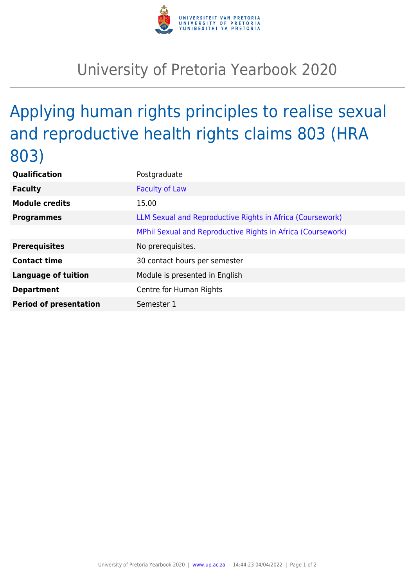

## University of Pretoria Yearbook 2020

## Applying human rights principles to realise sexual and reproductive health rights claims 803 (HRA 803)

| Qualification                 | Postgraduate                                                |
|-------------------------------|-------------------------------------------------------------|
| <b>Faculty</b>                | <b>Faculty of Law</b>                                       |
| <b>Module credits</b>         | 15.00                                                       |
| <b>Programmes</b>             | LLM Sexual and Reproductive Rights in Africa (Coursework)   |
|                               | MPhil Sexual and Reproductive Rights in Africa (Coursework) |
| <b>Prerequisites</b>          | No prerequisites.                                           |
| <b>Contact time</b>           | 30 contact hours per semester                               |
| <b>Language of tuition</b>    | Module is presented in English                              |
| <b>Department</b>             | Centre for Human Rights                                     |
| <b>Period of presentation</b> | Semester 1                                                  |